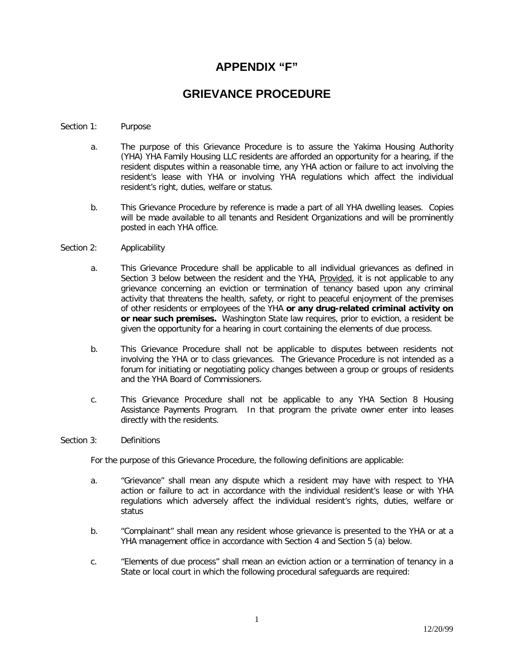## **APPENDIX "F"**

# **GRIEVANCE PROCEDURE**

### Section 1: Purpose

- a. The purpose of this Grievance Procedure is to assure the Yakima Housing Authority (YHA) YHA Family Housing LLC residents are afforded an opportunity for a hearing, if the resident disputes within a reasonable time, any YHA action or failure to act involving the resident's lease with YHA or involving YHA regulations which affect the individual resident's right, duties, welfare or status.
- b. This Grievance Procedure by reference is made a part of all YHA dwelling leases. Copies will be made available to all tenants and Resident Organizations and will be prominently posted in each YHA office.

#### Section 2: Applicability

- a. This Grievance Procedure shall be applicable to all individual grievances as defined in Section 3 below between the resident and the YHA, Provided, it is not applicable to any grievance concerning an eviction or termination of tenancy based upon any criminal activity that threatens the health, safety, or right to peaceful enjoyment of the premises of other residents or employees of the YHA **or any drug-related criminal activity on or near such premises.** Washington State law requires, prior to eviction, a resident be given the opportunity for a hearing in court containing the elements of due process.
- b. This Grievance Procedure shall not be applicable to disputes between residents not involving the YHA or to class grievances. The Grievance Procedure is not intended as a forum for initiating or negotiating policy changes between a group or groups of residents and the YHA Board of Commissioners.
- c. This Grievance Procedure shall not be applicable to any YHA Section 8 Housing Assistance Payments Program. In that program the private owner enter into leases directly with the residents.

#### Section 3: Definitions

For the purpose of this Grievance Procedure, the following definitions are applicable:

- a. "Grievance" shall mean any dispute which a resident may have with respect to YHA action or failure to act in accordance with the individual resident's lease or with YHA regulations which adversely affect the individual resident's rights, duties, welfare or status
- b. "Complainant" shall mean any resident whose grievance is presented to the YHA or at a YHA management office in accordance with Section 4 and Section 5 (a) below.
- c. "Elements of due process" shall mean an eviction action or a termination of tenancy in a State or local court in which the following procedural safeguards are required: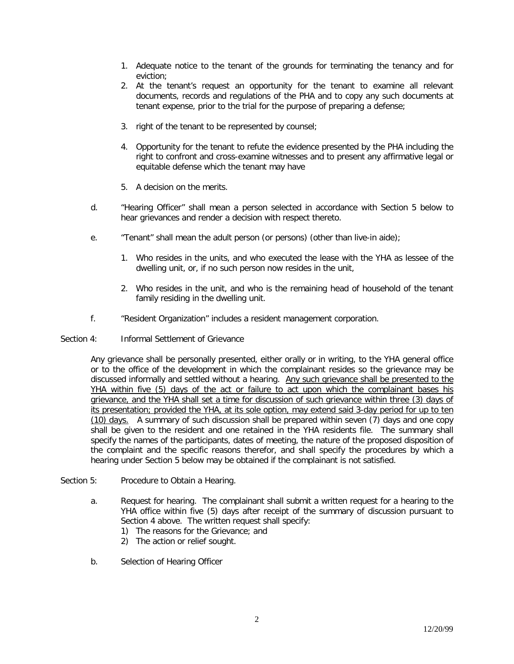- 1. Adequate notice to the tenant of the grounds for terminating the tenancy and for eviction;
- 2. At the tenant's request an opportunity for the tenant to examine all relevant documents, records and regulations of the PHA and to copy any such documents at tenant expense, prior to the trial for the purpose of preparing a defense;
- 3. right of the tenant to be represented by counsel;
- 4. Opportunity for the tenant to refute the evidence presented by the PHA including the right to confront and cross-examine witnesses and to present any affirmative legal or equitable defense which the tenant may have
- 5. A decision on the merits.
- d. "Hearing Officer" shall mean a person selected in accordance with Section 5 below to hear grievances and render a decision with respect thereto.
- e. "Tenant" shall mean the adult person (or persons) (other than live-in aide);
	- 1. Who resides in the units, and who executed the lease with the YHA as lessee of the dwelling unit, or, if no such person now resides in the unit,
	- 2. Who resides in the unit, and who is the remaining head of household of the tenant family residing in the dwelling unit.
- f. "Resident Organization" includes a resident management corporation.
- Section 4: Informal Settlement of Grievance

Any grievance shall be personally presented, either orally or in writing, to the YHA general office or to the office of the development in which the complainant resides so the grievance may be discussed informally and settled without a hearing. Any such grievance shall be presented to the YHA within five (5) days of the act or failure to act upon which the complainant bases his grievance, and the YHA shall set a time for discussion of such grievance within three (3) days of its presentation; provided the YHA, at its sole option, may extend said 3-day period for up to ten (10) days. A summary of such discussion shall be prepared within seven (7) days and one copy shall be given to the resident and one retained in the YHA residents file. The summary shall specify the names of the participants, dates of meeting, the nature of the proposed disposition of the complaint and the specific reasons therefor, and shall specify the procedures by which a hearing under Section 5 below may be obtained if the complainant is not satisfied.

- Section 5: Procedure to Obtain a Hearing.
	- a. Request for hearing. The complainant shall submit a written request for a hearing to the YHA office within five (5) days after receipt of the summary of discussion pursuant to Section 4 above. The written request shall specify:
		- 1) The reasons for the Grievance; and
		- 2) The action or relief sought.
	- b. Selection of Hearing Officer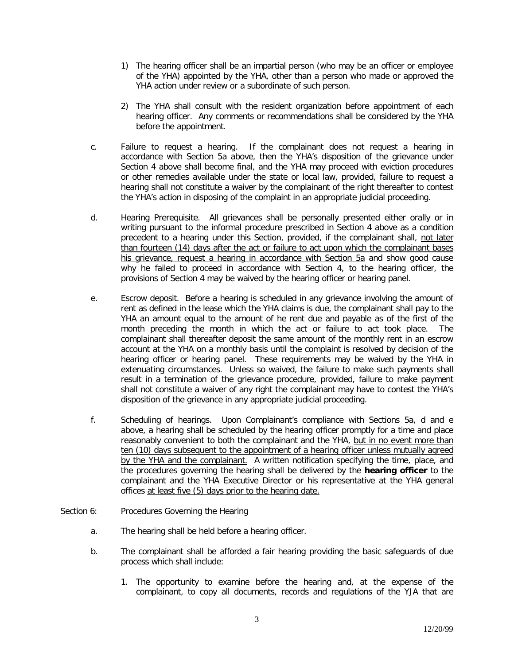- 1) The hearing officer shall be an impartial person (who may be an officer or employee of the YHA) appointed by the YHA, other than a person who made or approved the YHA action under review or a subordinate of such person.
- 2) The YHA shall consult with the resident organization before appointment of each hearing officer. Any comments or recommendations shall be considered by the YHA before the appointment.
- c. Failure to request a hearing. If the complainant does not request a hearing in accordance with Section 5a above, then the YHA's disposition of the grievance under Section 4 above shall become final, and the YHA may proceed with eviction procedures or other remedies available under the state or local law, provided, failure to request a hearing shall not constitute a waiver by the complainant of the right thereafter to contest the YHA's action in disposing of the complaint in an appropriate judicial proceeding.
- d. Hearing Prerequisite. All grievances shall be personally presented either orally or in writing pursuant to the informal procedure prescribed in Section 4 above as a condition precedent to a hearing under this Section, provided, if the complainant shall, not later than fourteen (14) days after the act or failure to act upon which the complainant bases his grievance, request a hearing in accordance with Section 5a and show good cause why he failed to proceed in accordance with Section 4, to the hearing officer, the provisions of Section 4 may be waived by the hearing officer or hearing panel.
- e. Escrow deposit. Before a hearing is scheduled in any grievance involving the amount of rent as defined in the lease which the YHA claims is due, the complainant shall pay to the YHA an amount equal to the amount of he rent due and payable as of the first of the month preceding the month in which the act or failure to act took place. The complainant shall thereafter deposit the same amount of the monthly rent in an escrow account at the YHA on a monthly basis until the complaint is resolved by decision of the hearing officer or hearing panel. These requirements may be waived by the YHA in extenuating circumstances. Unless so waived, the failure to make such payments shall result in a termination of the grievance procedure, provided, failure to make payment shall not constitute a waiver of any right the complainant may have to contest the YHA's disposition of the grievance in any appropriate judicial proceeding.
- f. Scheduling of hearings. Upon Complainant's compliance with Sections 5a, d and e above, a hearing shall be scheduled by the hearing officer promptly for a time and place reasonably convenient to both the complainant and the YHA, but in no event more than ten (10) days subsequent to the appointment of a hearing officer unless mutually agreed by the YHA and the complainant. A written notification specifying the time, place, and the procedures governing the hearing shall be delivered by the **hearing officer** to the complainant and the YHA Executive Director or his representative at the YHA general offices at least five (5) days prior to the hearing date.
- Section 6: Procedures Governing the Hearing
	- a. The hearing shall be held before a hearing officer.
	- b. The complainant shall be afforded a fair hearing providing the basic safeguards of due process which shall include:
		- 1. The opportunity to examine before the hearing and, at the expense of the complainant, to copy all documents, records and regulations of the YJA that are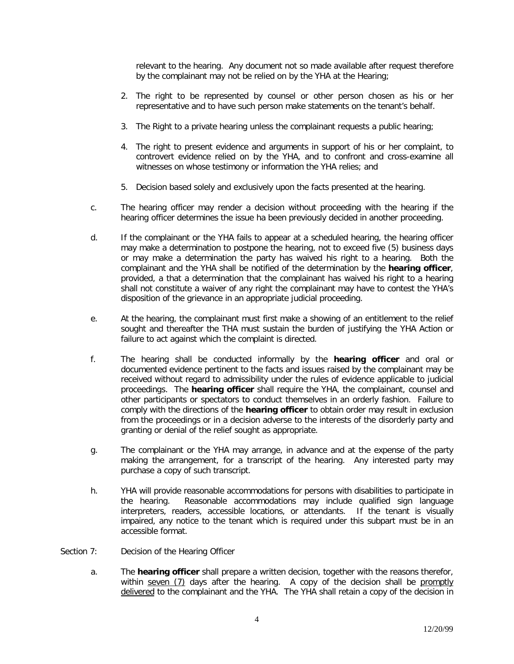relevant to the hearing. Any document not so made available after request therefore by the complainant may not be relied on by the YHA at the Hearing;

- 2. The right to be represented by counsel or other person chosen as his or her representative and to have such person make statements on the tenant's behalf.
- 3. The Right to a private hearing unless the complainant requests a public hearing;
- 4. The right to present evidence and arguments in support of his or her complaint, to controvert evidence relied on by the YHA, and to confront and cross-examine all witnesses on whose testimony or information the YHA relies; and
- 5. Decision based solely and exclusively upon the facts presented at the hearing.
- c. The hearing officer may render a decision without proceeding with the hearing if the hearing officer determines the issue ha been previously decided in another proceeding.
- d. If the complainant or the YHA fails to appear at a scheduled hearing, the hearing officer may make a determination to postpone the hearing, not to exceed five (5) business days or may make a determination the party has waived his right to a hearing. Both the complainant and the YHA shall be notified of the determination by the **hearing officer**, provided, a that a determination that the complainant has waived his right to a hearing shall not constitute a waiver of any right the complainant may have to contest the YHA's disposition of the grievance in an appropriate judicial proceeding.
- e. At the hearing, the complainant must first make a showing of an entitlement to the relief sought and thereafter the THA must sustain the burden of justifying the YHA Action or failure to act against which the complaint is directed.
- f. The hearing shall be conducted informally by the **hearing officer** and oral or documented evidence pertinent to the facts and issues raised by the complainant may be received without regard to admissibility under the rules of evidence applicable to judicial proceedings. The **hearing officer** shall require the YHA, the complainant, counsel and other participants or spectators to conduct themselves in an orderly fashion. Failure to comply with the directions of the **hearing officer** to obtain order may result in exclusion from the proceedings or in a decision adverse to the interests of the disorderly party and granting or denial of the relief sought as appropriate.
- g. The complainant or the YHA may arrange, in advance and at the expense of the party making the arrangement, for a transcript of the hearing. Any interested party may purchase a copy of such transcript.
- h. YHA will provide reasonable accommodations for persons with disabilities to participate in the hearing. Reasonable accommodations may include qualified sign language interpreters, readers, accessible locations, or attendants. If the tenant is visually impaired, any notice to the tenant which is required under this subpart must be in an accessible format.
- Section 7: Decision of the Hearing Officer
	- a. The **hearing officer** shall prepare a written decision, together with the reasons therefor, within seven (7) days after the hearing. A copy of the decision shall be promptly delivered to the complainant and the YHA. The YHA shall retain a copy of the decision in